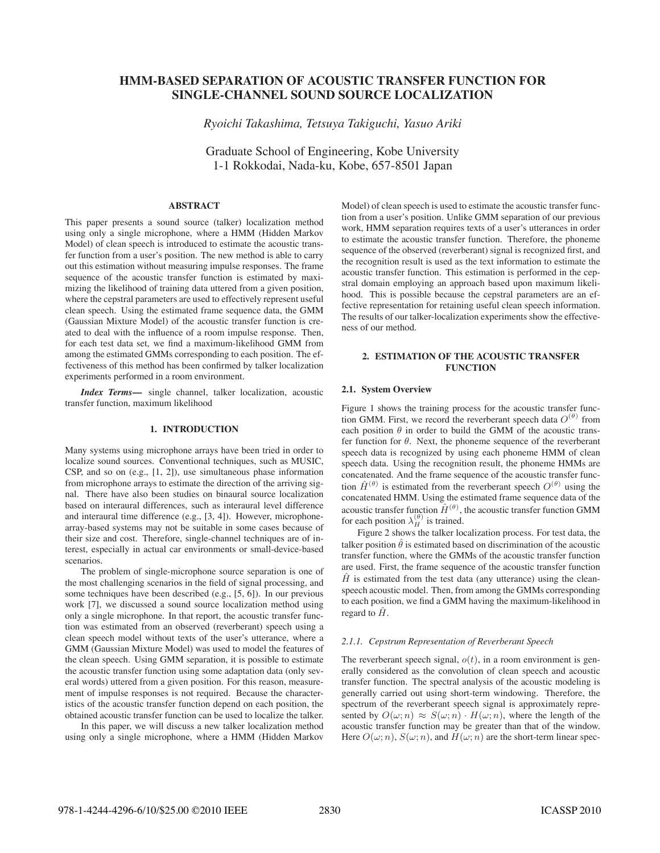# **HMM-BASED SEPARATION OF ACOUSTIC TRANSFER FUNCTION FOR SINGLE-CHANNEL SOUND SOURCE LOCALIZATION**

*Ryoichi Takashima, Tetsuya Takiguchi, Yasuo Ariki*

Graduate School of Engineering, Kobe University 1-1 Rokkodai, Nada-ku, Kobe, 657-8501 Japan

# **ABSTRACT**

This paper presents a sound source (talker) localization method using only a single microphone, where a HMM (Hidden Markov Model) of clean speech is introduced to estimate the acoustic transfer function from a user's position. The new method is able to carry out this estimation without measuring impulse responses. The frame sequence of the acoustic transfer function is estimated by maximizing the likelihood of training data uttered from a given position, where the cepstral parameters are used to effectively represent useful clean speech. Using the estimated frame sequence data, the GMM (Gaussian Mixture Model) of the acoustic transfer function is created to deal with the influence of a room impulse response. Then, for each test data set, we find a maximum-likelihood GMM from among the estimated GMMs corresponding to each position. The effectiveness of this method has been confirmed by talker localization experiments performed in a room environment.

*Index Terms***—** single channel, talker localization, acoustic transfer function, maximum likelihood

## **1. INTRODUCTION**

Many systems using microphone arrays have been tried in order to localize sound sources. Conventional techniques, such as MUSIC, CSP, and so on (e.g., [1, 2]), use simultaneous phase information from microphone arrays to estimate the direction of the arriving signal. There have also been studies on binaural source localization based on interaural differences, such as interaural level difference and interaural time difference (e.g., [3, 4]). However, microphonearray-based systems may not be suitable in some cases because of their size and cost. Therefore, single-channel techniques are of interest, especially in actual car environments or small-device-based scenarios.

The problem of single-microphone source separation is one of the most challenging scenarios in the field of signal processing, and some techniques have been described (e.g., [5, 6]). In our previous work [7], we discussed a sound source localization method using only a single microphone. In that report, the acoustic transfer function was estimated from an observed (reverberant) speech using a clean speech model without texts of the user's utterance, where a GMM (Gaussian Mixture Model) was used to model the features of the clean speech. Using GMM separation, it is possible to estimate the acoustic transfer function using some adaptation data (only several words) uttered from a given position. For this reason, measurement of impulse responses is not required. Because the characteristics of the acoustic transfer function depend on each position, the obtained acoustic transfer function can be used to localize the talker.

In this paper, we will discuss a new talker localization method using only a single microphone, where a HMM (Hidden Markov Model) of clean speech is used to estimate the acoustic transfer function from a user's position. Unlike GMM separation of our previous work, HMM separation requires texts of a user's utterances in order to estimate the acoustic transfer function. Therefore, the phoneme sequence of the observed (reverberant) signal is recognized first, and the recognition result is used as the text information to estimate the acoustic transfer function. This estimation is performed in the cepstral domain employing an approach based upon maximum likelihood. This is possible because the cepstral parameters are an effective representation for retaining useful clean speech information. The results of our talker-localization experiments show the effectiveness of our method.

## **2. ESTIMATION OF THE ACOUSTIC TRANSFER FUNCTION**

# **2.1. System Overview**

Figure 1 shows the training process for the acoustic transfer function GMM. First, we record the reverberant speech data  $O^{(\theta)}$  from each position  $\theta$  in order to build the GMM of the acoustic transfer function for  $\theta$ . Next, the phoneme sequence of the reverberant speech data is recognized by using each phoneme HMM of clean speech data. Using the recognition result, the phoneme HMMs are concatenated. And the frame sequence of the acoustic transfer function  $\hat{H}^{(\theta)}$  is estimated from the reverberant speech  $O^{(\theta)}$  using the concatenated HMM. Using the estimated frame sequence data of the acoustic transfer function  $\hat{H}^{(\theta)}$ , the acoustic transfer function GMM for each position  $\lambda_H^{(\theta)}$  is trained.

Figure 2 shows the talker localization process. For test data, the talker position  $\hat{\theta}$  is estimated based on discrimination of the acoustic transfer function, where the GMMs of the acoustic transfer function are used. First, the frame sequence of the acoustic transfer function  $H$  is estimated from the test data (any utterance) using the cleanspeech acoustic model. Then, from among the GMMs corresponding to each position, we find a GMM having the maximum-likelihood in regard to  $H$ .

### *2.1.1. Cepstrum Representation of Reverberant Speech*

The reverberant speech signal,  $o(t)$ , in a room environment is generally considered as the convolution of clean speech and acoustic transfer function. The spectral analysis of the acoustic modeling is generally carried out using short-term windowing. Therefore, the spectrum of the reverberant speech signal is approximately represented by  $O(\omega; n) \approx S(\omega; n) \cdot H(\omega; n)$ , where the length of the acoustic transfer function may be greater than that of the window. Here  $O(\omega; n)$ ,  $S(\omega; n)$ , and  $H(\omega; n)$  are the short-term linear spec-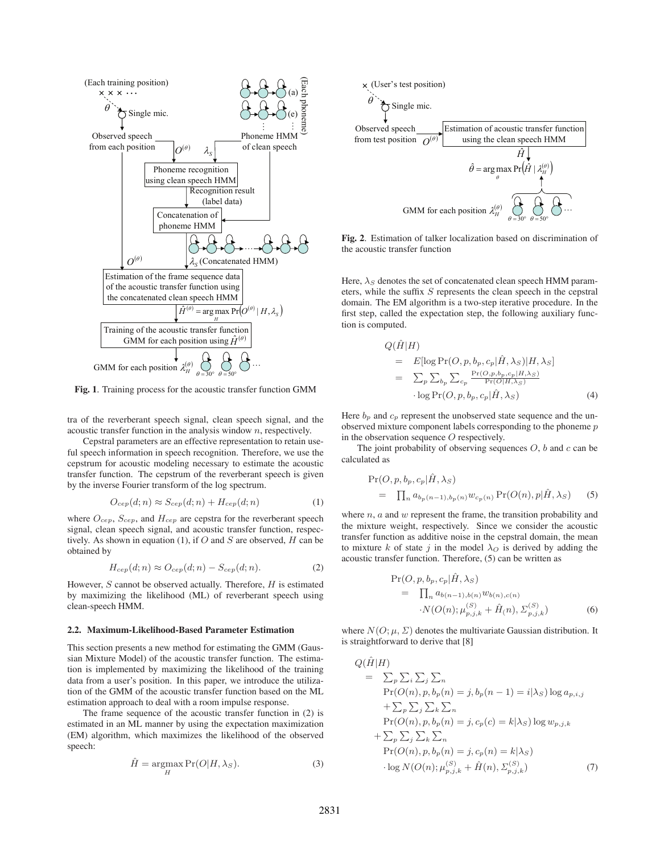

**Fig. 1**. Training process for the acoustic transfer function GMM

tra of the reverberant speech signal, clean speech signal, and the acoustic transfer function in the analysis window  $n$ , respectively.

Cepstral parameters are an effective representation to retain useful speech information in speech recognition. Therefore, we use the cepstrum for acoustic modeling necessary to estimate the acoustic transfer function. The cepstrum of the reverberant speech is given by the inverse Fourier transform of the log spectrum.

$$
O_{cep}(d; n) \approx S_{cep}(d; n) + H_{cep}(d; n)
$$
\n(1)

where  $O_{cep}$ ,  $S_{cep}$ , and  $H_{cep}$  are cepstra for the reverberant speech signal, clean speech signal, and acoustic transfer function, respectively. As shown in equation (1), if  $O$  and  $S$  are observed,  $H$  can be obtained by

$$
H_{cep}(d;n) \approx O_{cep}(d;n) - S_{cep}(d;n).
$$
 (2)

However,  $S$  cannot be observed actually. Therefore,  $H$  is estimated by maximizing the likelihood (ML) of reverberant speech using clean-speech HMM.

#### **2.2. Maximum-Likelihood-Based Parameter Estimation**

This section presents a new method for estimating the GMM (Gaussian Mixture Model) of the acoustic transfer function. The estimation is implemented by maximizing the likelihood of the training data from a user's position. In this paper, we introduce the utilization of the GMM of the acoustic transfer function based on the ML estimation approach to deal with a room impulse response.

The frame sequence of the acoustic transfer function in (2) is estimated in an ML manner by using the expectation maximization (EM) algorithm, which maximizes the likelihood of the observed speech:

$$
\hat{H} = \underset{H}{\text{argmax}} \Pr(O|H, \lambda_S). \tag{3}
$$



**Fig. 2**. Estimation of talker localization based on discrimination of the acoustic transfer function

Here,  $\lambda_S$  denotes the set of concatenated clean speech HMM parameters, while the suffix S represents the clean speech in the cepstral domain. The EM algorithm is a two-step iterative procedure. In the first step, called the expectation step, the following auxiliary function is computed.

$$
Q(\hat{H}|H)
$$
  
=  $E[\log \Pr(O, p, b_p, c_p | \hat{H}, \lambda_S)|H, \lambda_S]$   
=  $\sum_p \sum_{b_p} \sum_{c_p} \frac{\Pr(O, p, b_p, c_p | H, \lambda_S)}{\Pr(O|H, \lambda_S)}$   
log  $\Pr(O, p, b_p, c_p | \hat{H}, \lambda_S)$  (4)

Here  $b_p$  and  $c_p$  represent the unobserved state sequence and the unobserved mixture component labels corresponding to the phoneme p in the observation sequence O respectively.

The joint probability of observing sequences  $O$ ,  $b$  and  $c$  can be calculated as

$$
\Pr(O, p, b_p, c_p | \hat{H}, \lambda_S) \n= \prod_n a_{b_p(n-1), b_p(n)} w_{c_p(n)} \Pr(O(n), p | \hat{H}, \lambda_S)
$$
\n(5)

where  $n$ ,  $a$  and  $w$  represent the frame, the transition probability and the mixture weight, respectively. Since we consider the acoustic transfer function as additive noise in the cepstral domain, the mean to mixture k of state j in the model  $\lambda_O$  is derived by adding the acoustic transfer function. Therefore, (5) can be written as

$$
\Pr(O, p, b_p, c_p | \hat{H}, \lambda_S) \n= \prod_n a_{b(n-1), b(n)} w_{b(n), c(n)} \n\cdot N(O(n); \mu_{p,j,k}^{(S)} + \hat{H}(n), \Sigma_{p,j,k}^{(S)})
$$
\n(6)

where  $N(O; \mu, \Sigma)$  denotes the multivariate Gaussian distribution. It is straightforward to derive that [8]

$$
Q(\hat{H}|H)
$$
  
=  $\sum_{p} \sum_{i} \sum_{j} \sum_{n}$   
Pr(O(n), p, b<sub>p</sub>(n) = j, b<sub>p</sub>(n - 1) = i |  $\lambda_{S}$ ) log a<sub>p,i,j</sub>  
+  $\sum_{p} \sum_{j} \sum_{k} \sum_{n}$   
Pr(O(n), p, b<sub>p</sub>(n) = j, c<sub>p</sub>(c) = k |  $\lambda_{S}$ ) log w<sub>p,j,k</sub>  
+  $\sum_{p} \sum_{j} \sum_{k} \sum_{n}$   
Pr(O(n), p, b<sub>p</sub>(n) = j, c<sub>p</sub>(n) = k |  $\lambda_{S}$ )  
log N(O(n);  $\mu_{p,j,k}^{(S)}$  +  $\hat{H}(n), \Sigma_{p,j,k}^{(S)}$ ) (7)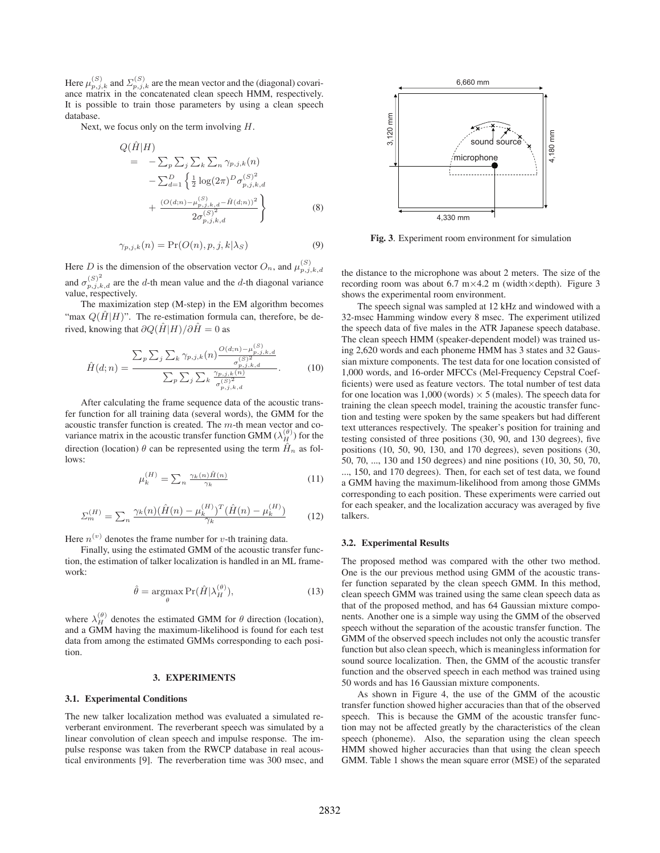Here  $\mu_{n,i,k}^{(S)}$  and  $\Sigma_{n,i,k}^{(S)}$  are the mean vector and the (diagonal) covariance matrix in the concatenated clean speech HMM, respectively. It is possible to train those parameters by using a clean speech database.

Next, we focus only on the term involving  $H$ .

$$
Q(\hat{H}|H) = -\sum_{p} \sum_{j} \sum_{k} \sum_{n} \gamma_{p,j,k}(n) -\sum_{d=1}^{D} \left\{ \frac{1}{2} \log(2\pi)^{D} \sigma_{p,j,k,d}^{(S)^{2}} + \frac{(O(d;n) - \mu_{p,j,k,d}^{(S)}, \hat{H}(d;n))^{2}}{2\sigma_{p,j,k,d}^{(S)^{2}}} \right\}
$$
(8)

$$
\gamma_{p,j,k}(n) = \Pr(O(n), p, j, k | \lambda_S)
$$
\n(9)

Here D is the dimension of the observation vector  $O_n$ , and  $\mu_{n,i,k,d}^{(S)}$ and  $\sigma_{n,i,k,d}^{(S)}$  are the d-th mean value and the d-th diagonal variance value, respectively.

The maximization step (M-step) in the EM algorithm becomes "max  $Q(\hat{H}|H)$ ". The re-estimation formula can, therefore, be derived, knowing that  $\partial Q(H|H)/\partial H = 0$  as

$$
\hat{H}(d;n) = \frac{\sum_{p} \sum_{j} \sum_{k} \gamma_{p,j,k}(n) \frac{O(d;n) - \mu_{p,j,k,d}^{(S)}}{\sigma_{p,j,k,d}^{(S)^2}}}{\sum_{p} \sum_{j} \sum_{k} \frac{\gamma_{p,j,k}(n)}{\sigma_{p,j,k,d}^{(S)^2}}}.
$$
(10)

After calculating the frame sequence data of the acoustic transfer function for all training data (several words), the GMM for the acoustic transfer function is created. The m-th mean vector and covariance matrix in the acoustic transfer function GMM  $(\lambda_H^{(\theta)})$  for the direction (location)  $\theta$  can be represented using the term  $H_n$  as follows:

$$
\mu_k^{(H)} = \sum_n \frac{\gamma_k(n)\hat{H}(n)}{\gamma_k} \tag{11}
$$

$$
\Sigma_m^{(H)} = \sum_n \frac{\gamma_k(n) (\hat{H}(n) - \mu_k^{(H)})^T (\hat{H}(n) - \mu_k^{(H)})}{\gamma_k} \tag{12}
$$

Here  $n^{(v)}$  denotes the frame number for v-th training data.

Finally, using the estimated GMM of the acoustic transfer function, the estimation of talker localization is handled in an ML framework:

$$
\hat{\theta} = \underset{\theta}{\operatorname{argmax}} \Pr(\hat{H} | \lambda_H^{(\theta)}),\tag{13}
$$

where  $\lambda_H^{(\theta)}$  denotes the estimated GMM for  $\theta$  direction (location), and a GMM having the maximum-likelihood is found for each test data from among the estimated GMMs corresponding to each position.

### **3. EXPERIMENTS**

### **3.1. Experimental Conditions**

The new talker localization method was evaluated a simulated reverberant environment. The reverberant speech was simulated by a linear convolution of clean speech and impulse response. The impulse response was taken from the RWCP database in real acoustical environments [9]. The reverberation time was 300 msec, and



**Fig. 3**. Experiment room environment for simulation

the distance to the microphone was about 2 meters. The size of the recording room was about 6.7 m×4.2 m (width×depth). Figure 3 shows the experimental room environment.

The speech signal was sampled at 12 kHz and windowed with a 32-msec Hamming window every 8 msec. The experiment utilized the speech data of five males in the ATR Japanese speech database. The clean speech HMM (speaker-dependent model) was trained using 2,620 words and each phoneme HMM has 3 states and 32 Gaussian mixture components. The test data for one location consisted of 1,000 words, and 16-order MFCCs (Mel-Frequency Cepstral Coefficients) were used as feature vectors. The total number of test data for one location was  $1,000$  (words)  $\times$  5 (males). The speech data for training the clean speech model, training the acoustic transfer function and testing were spoken by the same speakers but had different text utterances respectively. The speaker's position for training and testing consisted of three positions (30, 90, and 130 degrees), five positions (10, 50, 90, 130, and 170 degrees), seven positions (30, 50, 70, ..., 130 and 150 degrees) and nine positions (10, 30, 50, 70, ..., 150, and 170 degrees). Then, for each set of test data, we found a GMM having the maximum-likelihood from among those GMMs corresponding to each position. These experiments were carried out for each speaker, and the localization accuracy was averaged by five talkers.

### **3.2. Experimental Results**

The proposed method was compared with the other two method. One is the our previous method using GMM of the acoustic transfer function separated by the clean speech GMM. In this method, clean speech GMM was trained using the same clean speech data as that of the proposed method, and has 64 Gaussian mixture components. Another one is a simple way using the GMM of the observed speech without the separation of the acoustic transfer function. The GMM of the observed speech includes not only the acoustic transfer function but also clean speech, which is meaningless information for sound source localization. Then, the GMM of the acoustic transfer function and the observed speech in each method was trained using 50 words and has 16 Gaussian mixture components.

As shown in Figure 4, the use of the GMM of the acoustic transfer function showed higher accuracies than that of the observed speech. This is because the GMM of the acoustic transfer function may not be affected greatly by the characteristics of the clean speech (phoneme). Also, the separation using the clean speech HMM showed higher accuracies than that using the clean speech GMM. Table 1 shows the mean square error (MSE) of the separated